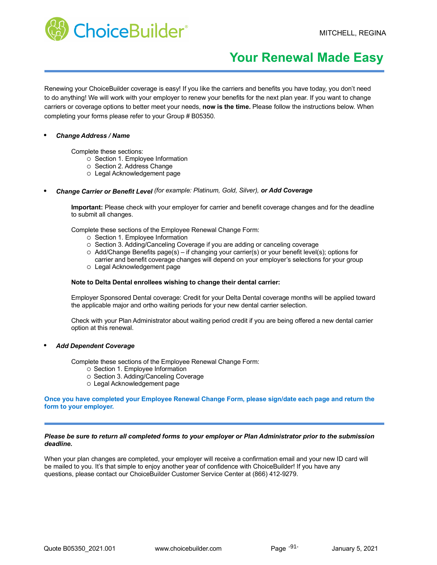

# **Your Renewal Made Easy**

Renewing your ChoiceBuilder coverage is easy! If you like the carriers and benefits you have today, you don't need to do anything! We will work with your employer to renew your benefits for the next plan year. If you want to change carriers or coverage options to better meet your needs, **now is the time.** Please follow the instructions below. When completing your forms please refer to your Group # B05350.

#### *• Change Address / Name*

Complete these sections:

- o Section 1. Employee Information
- o Section 2. Address Change
- Legal Acknowledgement page
- *• Change Carrier or Benefit Level (for example: Platinum, Gold, Silver), or Add Coverage*

**Important:** Please check with your employer for carrier and benefit coverage changes and for the deadline to submit all changes.

Complete these sections of the Employee Renewal Change Form:

- o Section 1. Employee Information
- $\circ$  Section 3. Adding/Canceling Coverage if you are adding or canceling coverage
- $\circ$  Add/Change Benefits page(s) if changing your carrier(s) or your benefit level(s); options for
- Legal Acknowledgement page carrier and benefit coverage changes will depend on your employer's selections for your group

#### **Note to Delta Dental enrollees wishing to change their dental carrier:**

Employer Sponsored Dental coverage: Credit for your Delta Dental coverage months will be applied toward the applicable major and ortho waiting periods for your new dental carrier selection.

Check with your Plan Administrator about waiting period credit if you are being offered a new dental carrier option at this renewal.

#### *• Add Dependent Coverage*

Complete these sections of the Employee Renewal Change Form:

- o Section 1. Employee Information
- o Section 3. Adding/Canceling Coverage
- Legal Acknowledgement page

#### **Once you have completed your Employee Renewal Change Form, please sign/date each page and return the form to your employer.**

#### *Please be sure to return all completed forms to your employer or Plan Administrator prior to the submission deadline.*

When your plan changes are completed, your employer will receive a confirmation email and your new ID card will be mailed to you. It's that simple to enjoy another year of confidence with ChoiceBuilder! If you have any questions, please contact our ChoiceBuilder Customer Service Center at (866) 412-9279.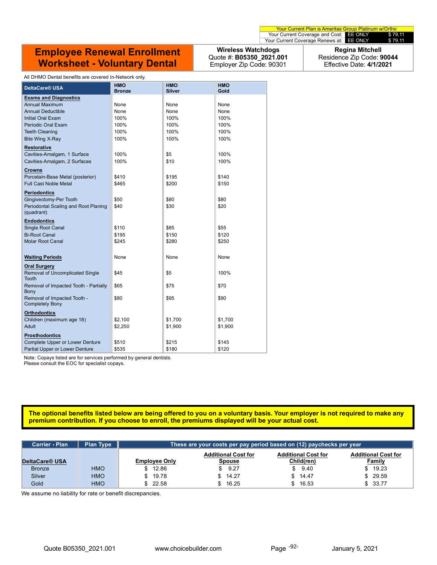### **Employee Renewal Enrollment Worksheet - Voluntary Dental**

**Wireless Watchdogs** Quote #: **B05350\_2021.001** Employer Zip Code: 90301

**Regina Mitchell** Residence Zip Code: **90044** Effective Date: **4/1/2021**

| All DHMO Dental benefits are covered In-Network only.              |                             |                             |                    |  |  |
|--------------------------------------------------------------------|-----------------------------|-----------------------------|--------------------|--|--|
| DeltaCare <sup>®</sup> USA                                         | <b>HMO</b><br><b>Bronze</b> | <b>HMO</b><br><b>Silver</b> | <b>HMO</b><br>Gold |  |  |
| <b>Exams and Diagnostics</b>                                       |                             |                             |                    |  |  |
| <b>Annual Maximum</b>                                              | None                        | None                        | None               |  |  |
| <b>Annual Deductible</b>                                           | None                        | None                        | None               |  |  |
| <b>Initial Oral Exam</b>                                           | 100%                        | 100%                        | 100%               |  |  |
| Periodic Oral Exam                                                 | 100%                        | 100%                        | 100%               |  |  |
| <b>Teeth Cleaning</b>                                              | 100%                        | 100%                        | 100%               |  |  |
| Bite Wing X-Ray                                                    | 100%                        | 100%                        | 100%               |  |  |
| <b>Restorative</b>                                                 |                             |                             |                    |  |  |
| Cavities-Amalgam, 1 Surface                                        | 100%                        | \$5                         | 100%               |  |  |
| Cavities-Amalgam, 2 Surfaces                                       | 100%                        | \$10                        | 100%               |  |  |
| <b>Crowns</b>                                                      |                             |                             |                    |  |  |
| Porcelain-Base Metal (posterior)                                   | \$410                       | \$195                       | \$140              |  |  |
| <b>Full Cast Noble Metal</b>                                       | \$465                       | \$200                       | \$150              |  |  |
|                                                                    |                             |                             |                    |  |  |
| <b>Periodontics</b>                                                |                             |                             |                    |  |  |
| Gingivectomy-Per Tooth                                             | \$50                        | \$80                        | \$80               |  |  |
| Periodontal Scaling and Root Planing                               | \$40                        | \$30                        | \$20               |  |  |
| (quadrant)                                                         |                             |                             |                    |  |  |
| <b>Endodontics</b>                                                 |                             |                             |                    |  |  |
| <b>Single Root Canal</b>                                           | \$110                       | \$85                        | \$55               |  |  |
| <b>Bi-Root Canal</b>                                               | \$195                       | \$150                       | \$120              |  |  |
| <b>Molar Root Canal</b>                                            | \$245                       | \$280                       | \$250              |  |  |
|                                                                    |                             |                             |                    |  |  |
| <b>Waiting Periods</b>                                             | None                        | None                        | None               |  |  |
| <b>Oral Surgery</b>                                                |                             |                             |                    |  |  |
| Removal of Uncomplicated Single                                    | \$45                        | \$5                         | 100%               |  |  |
| <b>Tooth</b>                                                       |                             |                             |                    |  |  |
| Removal of Impacted Tooth - Partially                              | \$65                        | \$75                        | \$70               |  |  |
| Bony                                                               |                             |                             |                    |  |  |
| Removal of Impacted Tooth -                                        | \$80                        | \$95                        | \$90               |  |  |
| <b>Completely Bony</b>                                             |                             |                             |                    |  |  |
| <b>Orthodontics</b>                                                |                             |                             |                    |  |  |
| Children (maximum age 18)                                          | \$2,100                     | \$1,700                     | \$1,700            |  |  |
| Adult                                                              | \$2,250                     | \$1,900                     | \$1,900            |  |  |
| <b>Prosthodontics</b>                                              |                             |                             |                    |  |  |
| <b>Complete Upper or Lower Denture</b>                             | \$510                       | \$215                       | \$145              |  |  |
| Partial Upper or Lower Denture                                     | \$535                       | \$180                       | \$120              |  |  |
| Note: Conove ligted are for convices performed by general dentista |                             |                             |                    |  |  |

Note: Copays listed are for services performed by general dentists.

Please consult the EOC for specialist copays.

#### **The optional benefits listed below are being offered to you on a voluntary basis. Your employer is not required to make any premium contribution. If you choose to enroll, the premiums displayed will be your actual cost.**

| <b>Carrier - Plan</b> | <b>Plan Type</b> | These are your costs per pay period based on (12) paychecks per year |         |                            |                            |
|-----------------------|------------------|----------------------------------------------------------------------|---------|----------------------------|----------------------------|
|                       |                  | <b>Additional Cost for</b>                                           |         | <b>Additional Cost for</b> | <b>Additional Cost for</b> |
| DeltaCare® USA        |                  | <b>Employee Only</b>                                                 | Spouse  | Child(ren)                 | <b>Family</b>              |
| <b>Bronze</b>         | <b>HMO</b>       | \$12.86                                                              | 9.27    | \$9.40                     | \$19.23                    |
| Silver                | <b>HMO</b>       | \$19.78                                                              | \$14.27 | \$14.47                    | 29.59                      |
| Gold                  | <b>HMO</b>       | \$22.58                                                              | 16.25   | 16.53                      | \$33.77                    |

We assume no liability for rate or benefit discrepancies.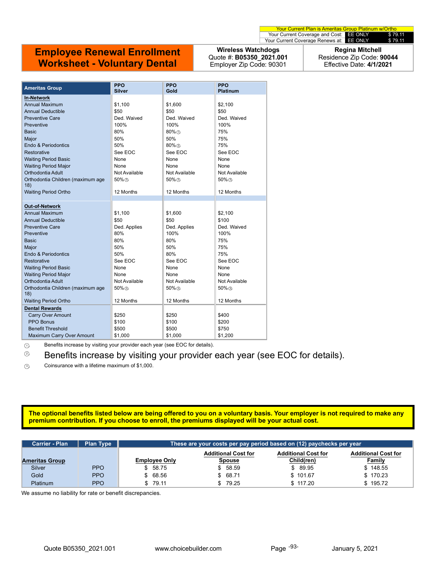## **Employee Renewal Enrollment Worksheet - Voluntary Dental**

**Wireless Watchdogs** Quote #: **B05350\_2021.001** Employer Zip Code: 90301

**Regina Mitchell** Residence Zip Code: **90044** Effective Date: **4/1/2021**

| <b>Ameritas Group</b>                    | <b>PPO</b><br>Silver | <b>PPO</b><br>Gold | <b>PPO</b><br><b>Platinum</b> |
|------------------------------------------|----------------------|--------------------|-------------------------------|
| <b>In-Network</b>                        |                      |                    |                               |
| Annual Maximum                           | \$1,100              | \$1,600            | \$2,100                       |
| <b>Annual Deductible</b>                 | \$50                 | \$50               | \$50                          |
| <b>Preventive Care</b>                   | Ded Waived           | Ded Waived         | Ded. Waived                   |
| Preventive                               | 100%                 | 100%               | 100%                          |
| <b>Basic</b>                             | 80%                  | 80%①               | 75%                           |
| Major                                    | 50%                  | 50%                | 75%                           |
| Endo & Periodontics                      | 50%                  | $80\%$ (2)         | 75%                           |
| Restorative                              | See EOC              | See EOC            | See EOC                       |
| <b>Waiting Period Basic</b>              | None                 | None               | None                          |
| <b>Waiting Period Major</b>              | None                 | None               | None                          |
| Orthodontia Adult                        | Not Available        | Not Available      | Not Available                 |
| Orthodontia Children (maximum age        | $50\%$               | $50\%$             | $50\%$                        |
| 18)                                      |                      |                    |                               |
| <b>Waiting Period Ortho</b>              | 12 Months            | 12 Months          | 12 Months                     |
|                                          |                      |                    |                               |
| <b>Out-of-Network</b>                    |                      |                    |                               |
| Annual Maximum                           | \$1,100              | \$1,600            | \$2,100                       |
| <b>Annual Deductible</b>                 | \$50                 | \$50               | \$100                         |
| <b>Preventive Care</b>                   | Ded. Applies         | Ded. Applies       | Ded. Waived                   |
| Preventive                               | 80%                  | 100%               | 100%                          |
| <b>Basic</b>                             | 80%                  | 80%                | 75%                           |
| Major                                    | 50%                  | 50%                | 75%                           |
| Endo & Periodontics                      | 50%                  | 80%                | 75%                           |
| Restorative                              | See EOC              | See EOC            | See EOC                       |
| <b>Waiting Period Basic</b>              | None                 | None               | None                          |
| <b>Waiting Period Major</b>              | None                 | None               | None                          |
| Orthodontia Adult                        | Not Available        | Not Available      | Not Available                 |
| Orthodontia Children (maximum age<br>18) | 50%3                 | 50%3               | 50%3                          |
| <b>Waiting Period Ortho</b>              | 12 Months            | 12 Months          | 12 Months                     |
| <b>Dental Rewards</b>                    |                      |                    |                               |
| <b>Carry Over Amount</b>                 | \$250                | \$250              | \$400                         |
| <b>PPO Bonus</b>                         | \$100                | \$100              | \$200                         |
| <b>Benefit Threshold</b>                 | \$500                | \$500              | \$750                         |
| Maximum Carry Over Amount                | \$1,000              | \$1,000            | \$1,200                       |

 $0$  Benefits increase by visiting your provider each year (see EOC for details).

 $\degree$  Benefits increase by visiting your provider each year (see EOC for details).

<sup>3</sup> Coinsurance with a lifetime maximum of \$1,000.

#### **The optional benefits listed below are being offered to you on a voluntary basis. Your employer is not required to make any premium contribution. If you choose to enroll, the premiums displayed will be your actual cost.**

| <b>Carrier - Plan</b> | <b>Plan Type</b> | These are your costs per pay period based on (12) pa <u>ychecks per year </u> '        |          |            |               |
|-----------------------|------------------|----------------------------------------------------------------------------------------|----------|------------|---------------|
|                       |                  | <b>Additional Cost for</b><br><b>Additional Cost for</b><br><b>Additional Cost for</b> |          |            |               |
| <b>Ameritas Group</b> |                  | <b>Employee Only</b>                                                                   | Spouse   | Child(ren) | <b>Family</b> |
| Silver                | <b>PPO</b>       | \$58.75                                                                                | \$58.59  | \$ 89.95   | \$148.55      |
| Gold                  | <b>PPO</b>       | \$68.56                                                                                | \$68.71  | \$101.67   | \$170.23      |
| Platinum              | <b>PPO</b>       | 79.11                                                                                  | \$ 79.25 | \$117.20   | \$195.72      |

We assume no liability for rate or benefit discrepancies.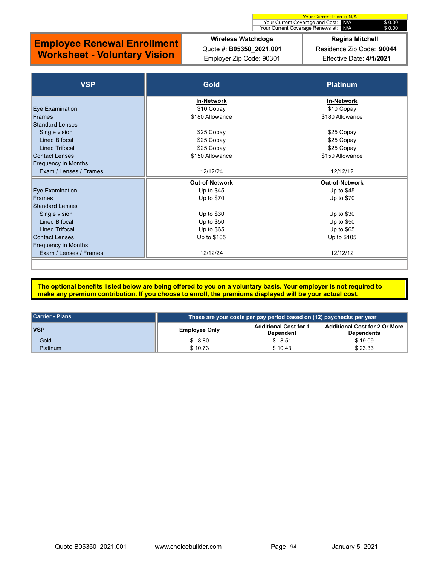# **Wireless Watchdogs**

## **Employee Renewal Enrollment Worksheet - Voluntary Vision**

Quote #: **B05350\_2021.001** Employer Zip Code: 90301

#### Your Current Coverage Renews at: N/A \$ 0.00 **Regina Mitchell**

Your Current Plan is N/A Your Current Coverage and Cost: N/A \$ 0.00

Residence Zip Code: **90044** Effective Date: **4/1/2021**

| <b>VSP</b>                 | <b>Gold</b>       | <b>Platinum</b>   |
|----------------------------|-------------------|-------------------|
|                            | <b>In-Network</b> | <b>In-Network</b> |
| Eye Examination            | \$10 Copay        | \$10 Copay        |
| <b>Frames</b>              | \$180 Allowance   | \$180 Allowance   |
| <b>Standard Lenses</b>     |                   |                   |
| Single vision              | \$25 Copay        | \$25 Copay        |
| <b>Lined Bifocal</b>       | \$25 Copay        | \$25 Copay        |
| <b>Lined Trifocal</b>      | \$25 Copay        | \$25 Copay        |
| <b>Contact Lenses</b>      | \$150 Allowance   | \$150 Allowance   |
| <b>Frequency in Months</b> |                   |                   |
| Exam / Lenses / Frames     | 12/12/24          | 12/12/12          |
|                            | Out-of-Network    | Out-of-Network    |
| Eye Examination            | Up to $$45$       | Up to $$45$       |
| <b>Frames</b>              | Up to \$70        | Up to $$70$       |
| <b>Standard Lenses</b>     |                   |                   |
| Single vision              | Up to $$30$       | Up to $$30$       |
| <b>Lined Bifocal</b>       | Up to \$50        | Up to $$50$       |
| <b>Lined Trifocal</b>      | Up to \$65        | Up to \$65        |
| <b>Contact Lenses</b>      | Up to \$105       | Up to \$105       |
| <b>Frequency in Months</b> |                   |                   |
| Exam / Lenses / Frames     | 12/12/24          | 12/12/12          |
|                            |                   |                   |

**The optional benefits listed below are being offered to you on a voluntary basis. Your employer is not required to make any premium contribution. If you choose to enroll, the premiums displayed will be your actual cost.**

| l Carrier - Plans | These are your costs per pay period based on (12) paychecks per year \, |                                                  |                                                           |  |
|-------------------|-------------------------------------------------------------------------|--------------------------------------------------|-----------------------------------------------------------|--|
| <u>VSP</u>        | <b>Employee Only</b>                                                    | <b>Additional Cost for 1</b><br><b>Dependent</b> | <b>Additional Cost for 2 Or More</b><br><b>Dependents</b> |  |
| Gold              | \$8.80                                                                  | \$8.51                                           | \$19.09                                                   |  |
| <b>Platinum</b>   | \$10.73                                                                 | \$10.43                                          | \$23.33                                                   |  |